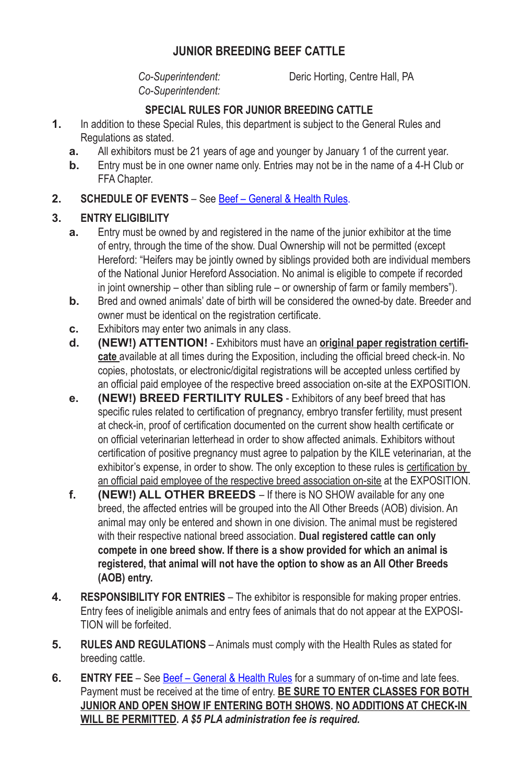### **JUNIOR BREEDING BEEF CATTLE**

*Co-Superintendent:*

*Co-Superintendent:* Deric Horting, Centre Hall, PA

### **SPECIAL RULES FOR JUNIOR BREEDING CATTLE**

- **1.** In addition to these Special Rules, this department is subject to the General Rules and Regulations as stated.
	- **a.** All exhibitors must be 21 years of age and younger by January 1 of the current year.
	- **b.** Entry must be in one owner name only. Entries may not be in the name of a 4‑H Club or FFA Chapter.

### **2. SCHEDULE OF EVENTS** – See Beef – General & Health Rules.

### **3. ENTRY ELIGIBILITY**

- **a.** Entry must be owned by and registered in the name of the junior exhibitor at the time of entry, through the time of the show. Dual Ownership will not be permitted (except Hereford: "Heifers may be jointly owned by siblings provided both are individual members of the National Junior Hereford Association. No animal is eligible to compete if recorded in joint ownership – other than sibling rule – or ownership of farm or family members").
- **b.** Bred and owned animals' date of birth will be considered the owned-by date. Breeder and owner must be identical on the registration certificate.
- **c.** Exhibitors may enter two animals in any class.
- **d. (NEW!) ATTENTION!** Exhibitors must have an **original paper registration certificate** available at all times during the Exposition, including the official breed check-in. No copies, photostats, or electronic/digital registrations will be accepted unless certified by an official paid employee of the respective breed association on-site at the EXPOSITION.
- **e. (NEW!) BREED FERTILITY RULES** Exhibitors of any beef breed that has specific rules related to certification of pregnancy, embryo transfer fertility, must present at check-in, proof of certification documented on the current show health certificate or on official veterinarian letterhead in order to show affected animals. Exhibitors without certification of positive pregnancy must agree to palpation by the KILE veterinarian, at the exhibitor's expense, in order to show. The only exception to these rules is certification by an official paid employee of the respective breed association on-site at the EXPOSITION.
- **f. (NEW!) ALL OTHER BREEDS**  If there is NO SHOW available for any one breed, the affected entries will be grouped into the All Other Breeds (AOB) division. An animal may only be entered and shown in one division. The animal must be registered with their respective national breed association. **Dual registered cattle can only compete in one breed show. If there is a show provided for which an animal is registered, that animal will not have the option to show as an All Other Breeds (AOB) entry.**
- **4. RESPONSIBILITY FOR ENTRIES** The exhibitor is responsible for making proper entries. Entry fees of ineligible animals and entry fees of animals that do not appear at the EXPOSI-TION will be forfeited.
- **5. RULES AND REGULATIONS** Animals must comply with the Health Rules as stated for breeding cattle.
- **6. ENTRY FEE** See **Beef General & Health Rules** for a summary of on-time and late fees. Payment must be received at the time of entry. **BE SURE TO ENTER CLASSES FOR BOTH JUNIOR AND OPEN SHOW IF ENTERING BOTH SHOWS. NO ADDITIONS AT CHECK-IN WILL BE PERMITTED.** *A \$5 PLA administration fee is required.*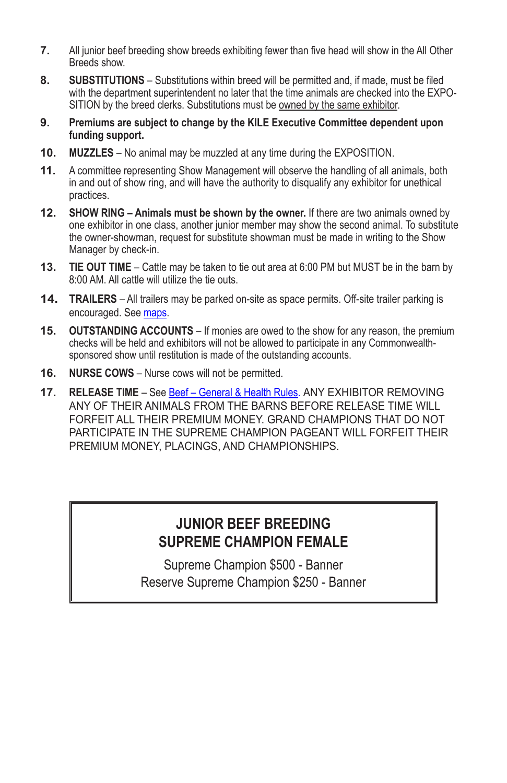- **7.** All junior beef breeding show breeds exhibiting fewer than five head will show in the All Other Breeds show.
- **8. SUBSTITUTIONS** Substitutions within breed will be permitted and, if made, must be filed with the department superintendent no later that the time animals are checked into the EXPO-SITION by the breed clerks. Substitutions must be owned by the same exhibitor.
- **9. Premiums are subject to change by the KILE Executive Committee dependent upon funding support.**
- **10. MUZZLES** No animal may be muzzled at any time during the EXPOSITION.
- **11.** A committee representing Show Management will observe the handling of all animals, both in and out of show ring, and will have the authority to disqualify any exhibitor for unethical practices.
- **12. SHOW RING Animals must be shown by the owner.** If there are two animals owned by one exhibitor in one class, another junior member may show the second animal. To substitute the owner-showman, request for substitute showman must be made in writing to the Show Manager by check-in.
- **13. TIE OUT TIME** Cattle may be taken to tie out area at 6:00 PM but MUST be in the barn by 8:00 AM. All cattle will utilize the tie outs.
- **14. TRAILERS** All trailers may be parked on-site as space permits. Off-site trailer parking is encouraged. See maps.
- **15. OUTSTANDING ACCOUNTS** If monies are owed to the show for any reason, the premium checks will be held and exhibitors will not be allowed to participate in any Commonwealthsponsored show until restitution is made of the outstanding accounts.
- **16. NURSE COWS** Nurse cows will not be permitted.
- **17. RELEASE TIME** See Beef General & Health Rules. ANY EXHIBITOR REMOVING ANY OF THEIR ANIMALS FROM THE BARNS BEFORE RELEASE TIME WILL FORFEIT ALL THEIR PREMIUM MONEY. GRAND CHAMPIONS THAT DO NOT PARTICIPATE IN THE SUPREME CHAMPION PAGEANT WILL FORFEIT THEIR PREMIUM MONEY, PLACINGS, AND CHAMPIONSHIPS.

# **JUNIOR BEEF BREEDING SUPREME CHAMPION FEMALE**

Supreme Champion \$500 - Banner Reserve Supreme Champion \$250 - Banner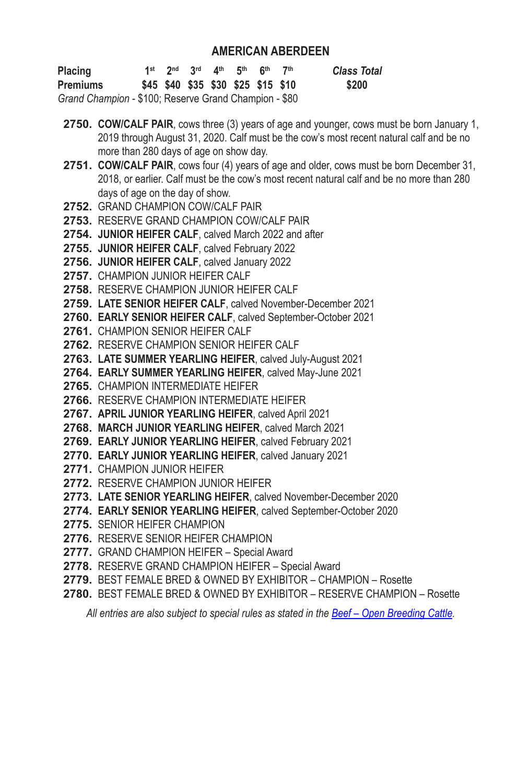### **AMERICAN ABERDEEN**

| <b>Placing</b>                                        |  |  | 1st $2^{nd}$ $3^{rd}$ $4^{th}$ $5^{th}$ $6^{th}$ | 7th | <b>Class Total</b> |
|-------------------------------------------------------|--|--|--------------------------------------------------|-----|--------------------|
| <b>Premiums</b>                                       |  |  | \$45 \$40 \$35 \$30 \$25 \$15 \$10               |     | \$200              |
| Grand Champion - \$100; Reserve Grand Champion - \$80 |  |  |                                                  |     |                    |

- **2750. COW/CALF PAIR**, cows three (3) years of age and younger, cows must be born January 1, 2019 through August 31, 2020. Calf must be the cow's most recent natural calf and be no more than 280 days of age on show day.
- **2751. COW/CALF PAIR**, cows four (4) years of age and older, cows must be born December 31, 2018, or earlier. Calf must be the cow's most recent natural calf and be no more than 280 days of age on the day of show.
- **2752.** GRAND CHAMPION COW/CALF PAIR
- **2753.** RESERVE GRAND CHAMPION COW/CALF PAIR
- **2754. JUNIOR HEIFER CALF**, calved March 2022 and after
- **2755. JUNIOR HEIFER CALF**, calved February 2022
- **2756. JUNIOR HEIFER CALF**, calved January 2022
- **2757.** CHAMPION JUNIOR HEIFER CALF
- **2758.** RESERVE CHAMPION JUNIOR HEIFER CALF
- **2759. LATE SENIOR HEIFER CALF**, calved November-December 2021
- **2760. EARLY SENIOR HEIFER CALF**, calved September-October 2021
- **2761.** CHAMPION SENIOR HEIFER CALF
- **2762.** RESERVE CHAMPION SENIOR HEIFER CALF
- **2763. LATE SUMMER YEARLING HEIFER**, calved July‑August 2021
- **2764. EARLY SUMMER YEARLING HEIFER**, calved May‑June 2021
- **2765.** CHAMPION INTERMEDIATE HEIFER
- **2766.** RESERVE CHAMPION INTERMEDIATE HEIFER
- **2767. APRIL JUNIOR YEARLING HEIFER**, calved April 2021
- **2768. MARCH JUNIOR YEARLING HEIFER**, calved March 2021
- **2769. EARLY JUNIOR YEARLING HEIFER**, calved February 2021
- **2770. EARLY JUNIOR YEARLING HEIFER**, calved January 2021
- **2771.** CHAMPION JUNIOR HEIFER
- **2772.** RESERVE CHAMPION JUNIOR HEIFER
- **2773. LATE SENIOR YEARLING HEIFER**, calved November‑December 2020
- **2774. EARLY SENIOR YEARLING HEIFER**, calved September‑October 2020
- **2775.** SENIOR HEIFER CHAMPION
- **2776.** RESERVE SENIOR HEIFER CHAMPION
- **2777.** GRAND CHAMPION HEIFER Special Award
- **2778.** RESERVE GRAND CHAMPION HEIFER Special Award
- **2779.** BEST FEMALE BRED & OWNED BY EXHIBITOR CHAMPION Rosette
- **2780.** BEST FEMALE BRED & OWNED BY EXHIBITOR RESERVE CHAMPION Rosette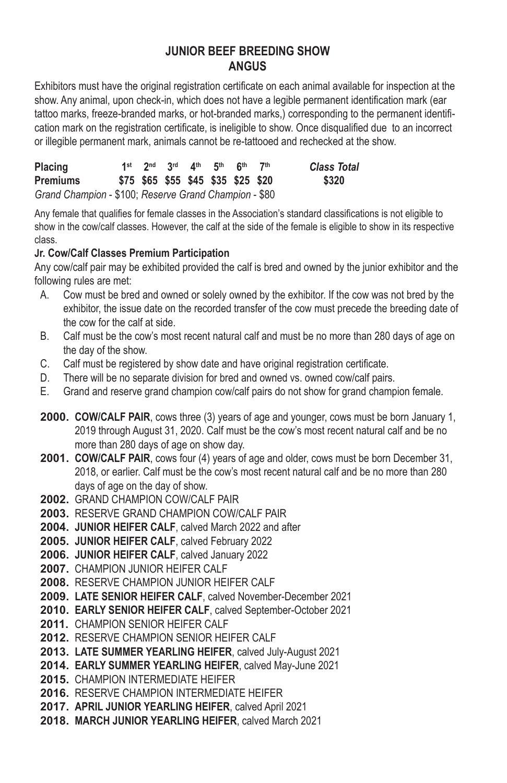### **JUNIOR BEEF BREEDING SHOW ANGUS**

Exhibitors must have the original registration certificate on each animal available for inspection at the show. Any animal, upon check-in, which does not have a legible permanent identification mark (ear tattoo marks, freeze-branded marks, or hot-branded marks,) corresponding to the permanent identification mark on the registration certificate, is ineligible to show. Once disqualified due to an incorrect or illegible permanent mark, animals cannot be re-tattooed and rechecked at the show.

| <b>Placing</b>                                        |  |  | 1st $2^{nd}$ $3^{rd}$ $4^{th}$ $5^{th}$ $6^{th}$ | 7th | <b>Class Total</b> |
|-------------------------------------------------------|--|--|--------------------------------------------------|-----|--------------------|
| <b>Premiums</b>                                       |  |  | \$75 \$65 \$55 \$45 \$35 \$25 \$20               |     | \$320              |
| Grand Champion - \$100; Reserve Grand Champion - \$80 |  |  |                                                  |     |                    |

Any female that qualifies for female classes in the Association's standard classifications is not eligible to show in the cow/calf classes. However, the calf at the side of the female is eligible to show in its respective class.

#### **Jr. Cow/Calf Classes Premium Participation**

Any cow/calf pair may be exhibited provided the calf is bred and owned by the junior exhibitor and the following rules are met:

- A. Cow must be bred and owned or solely owned by the exhibitor. If the cow was not bred by the exhibitor, the issue date on the recorded transfer of the cow must precede the breeding date of the cow for the calf at side.
- B. Calf must be the cow's most recent natural calf and must be no more than 280 days of age on the day of the show.
- C. Calf must be registered by show date and have original registration certificate.
- D. There will be no separate division for bred and owned vs. owned cow/calf pairs.
- E. Grand and reserve grand champion cow/calf pairs do not show for grand champion female.
- **2000. COW/CALF PAIR**, cows three (3) years of age and younger, cows must be born January 1, 2019 through August 31, 2020. Calf must be the cow's most recent natural calf and be no more than 280 days of age on show day.
- **2001. COW/CALF PAIR**, cows four (4) years of age and older, cows must be born December 31, 2018, or earlier. Calf must be the cow's most recent natural calf and be no more than 280 days of age on the day of show.
- **2002.** GRAND CHAMPION COW/CALF PAIR
- **2003.** RESERVE GRAND CHAMPION COW/CALF PAIR
- **2004. JUNIOR HEIFER CALF**, calved March 2022 and after
- **2005. JUNIOR HEIFER CALF**, calved February 2022
- **2006. JUNIOR HEIFER CALF**, calved January 2022
- **2007.** CHAMPION JUNIOR HEIFER CALF
- **2008.** RESERVE CHAMPION JUNIOR HEIFER CALF
- **2009. LATE SENIOR HEIFER CALF**, calved November-December 2021
- **2010. EARLY SENIOR HEIFER CALF**, calved September-October 2021
- **2011.** CHAMPION SENIOR HEIFER CALF
- **2012.** RESERVE CHAMPION SENIOR HEIFER CALF
- **2013. LATE SUMMER YEARLING HEIFER**, calved July‑August 2021
- **2014. EARLY SUMMER YEARLING HEIFER**, calved May‑June 2021
- **2015.** CHAMPION INTERMEDIATE HEIFER
- **2016.** RESERVE CHAMPION INTERMEDIATE HEIFER
- **2017. APRIL JUNIOR YEARLING HEIFER**, calved April 2021
- **2018. MARCH JUNIOR YEARLING HEIFER**, calved March 2021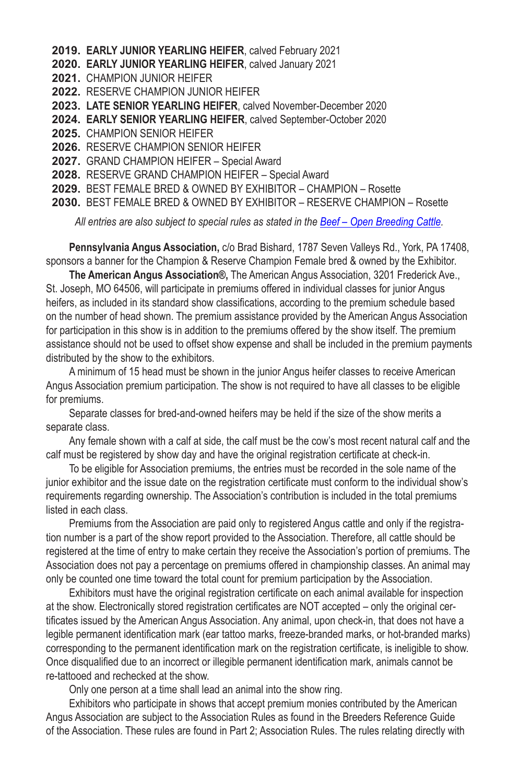- **2019. EARLY JUNIOR YEARLING HEIFER**, calved February 2021
- **2020. EARLY JUNIOR YEARLING HEIFER**, calved January 2021
- **2021.** CHAMPION JUNIOR HEIFER
- **2022.** RESERVE CHAMPION JUNIOR HEIFER
- **2023. LATE SENIOR YEARLING HEIFER**, calved November‑December 2020
- **2024. EARLY SENIOR YEARLING HEIFER**, calved September‑October 2020
- **2025.** CHAMPION SENIOR HEIFER
- **2026.** RESERVE CHAMPION SENIOR HEIFER
- **2027.** GRAND CHAMPION HEIFER Special Award
- **2028.** RESERVE GRAND CHAMPION HEIFER Special Award
- **2029.** BEST FEMALE BRED & OWNED BY EXHIBITOR CHAMPION Rosette
- **2030.** BEST FEMALE BRED & OWNED BY EXHIBITOR RESERVE CHAMPION Rosette

*All entries are also subject to special rules as stated in the Beef – Open Breeding Cattle.*

**Pennsylvania Angus Association,** c/o Brad Bishard, 1787 Seven Valleys Rd., York, PA 17408, sponsors a banner for the Champion & Reserve Champion Female bred & owned by the Exhibitor.

**The American Angus Association®,** The American Angus Association, 3201 Frederick Ave., St. Joseph, MO 64506, will participate in premiums offered in individual classes for junior Angus heifers, as included in its standard show classifications, according to the premium schedule based on the number of head shown. The premium assistance provided by the American Angus Association for participation in this show is in addition to the premiums offered by the show itself. The premium assistance should not be used to offset show expense and shall be included in the premium payments distributed by the show to the exhibitors.

A minimum of 15 head must be shown in the junior Angus heifer classes to receive American Angus Association premium participation. The show is not required to have all classes to be eligible for premiums.

Separate classes for bred-and-owned heifers may be held if the size of the show merits a separate class.

Any female shown with a calf at side, the calf must be the cow's most recent natural calf and the calf must be registered by show day and have the original registration certificate at check-in.

To be eligible for Association premiums, the entries must be recorded in the sole name of the junior exhibitor and the issue date on the registration certificate must conform to the individual show's requirements regarding ownership. The Association's contribution is included in the total premiums listed in each class.

Premiums from the Association are paid only to registered Angus cattle and only if the registration number is a part of the show report provided to the Association. Therefore, all cattle should be registered at the time of entry to make certain they receive the Association's portion of premiums. The Association does not pay a percentage on premiums offered in championship classes. An animal may only be counted one time toward the total count for premium participation by the Association.

Exhibitors must have the original registration certificate on each animal available for inspection at the show. Electronically stored registration certificates are NOT accepted – only the original certificates issued by the American Angus Association. Any animal, upon check-in, that does not have a legible permanent identification mark (ear tattoo marks, freeze-branded marks, or hot-branded marks) corresponding to the permanent identification mark on the registration certificate, is ineligible to show. Once disqualified due to an incorrect or illegible permanent identification mark, animals cannot be re-tattooed and rechecked at the show.

Only one person at a time shall lead an animal into the show ring.

Exhibitors who participate in shows that accept premium monies contributed by the American Angus Association are subject to the Association Rules as found in the Breeders Reference Guide of the Association. These rules are found in Part 2; Association Rules. The rules relating directly with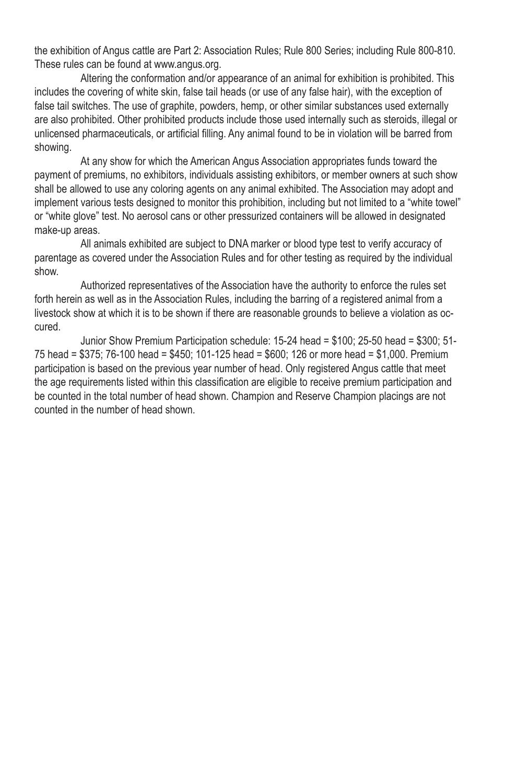the exhibition of Angus cattle are Part 2: Association Rules; Rule 800 Series; including Rule 800-810. These rules can be found at www.angus.org.

Altering the conformation and/or appearance of an animal for exhibition is prohibited. This includes the covering of white skin, false tail heads (or use of any false hair), with the exception of false tail switches. The use of graphite, powders, hemp, or other similar substances used externally are also prohibited. Other prohibited products include those used internally such as steroids, illegal or unlicensed pharmaceuticals, or artificial filling. Any animal found to be in violation will be barred from showing.

At any show for which the American Angus Association appropriates funds toward the payment of premiums, no exhibitors, individuals assisting exhibitors, or member owners at such show shall be allowed to use any coloring agents on any animal exhibited. The Association may adopt and implement various tests designed to monitor this prohibition, including but not limited to a "white towel" or "white glove" test. No aerosol cans or other pressurized containers will be allowed in designated make-up areas.

All animals exhibited are subject to DNA marker or blood type test to verify accuracy of parentage as covered under the Association Rules and for other testing as required by the individual show.

Authorized representatives of the Association have the authority to enforce the rules set forth herein as well as in the Association Rules, including the barring of a registered animal from a livestock show at which it is to be shown if there are reasonable grounds to believe a violation as oc‑ cured.

Junior Show Premium Participation schedule: 15-24 head = \$100; 25-50 head = \$300; 51- 75 head = \$375; 76-100 head = \$450; 101-125 head = \$600; 126 or more head = \$1,000. Premium participation is based on the previous year number of head. Only registered Angus cattle that meet the age requirements listed within this classification are eligible to receive premium participation and be counted in the total number of head shown. Champion and Reserve Champion placings are not counted in the number of head shown.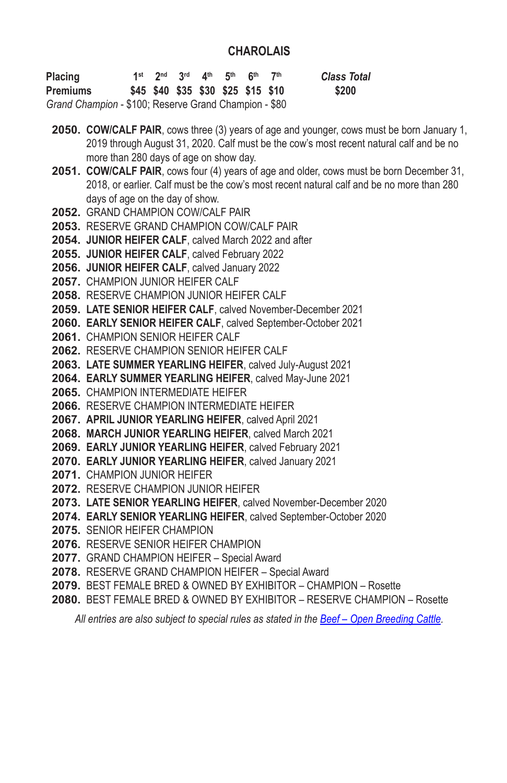### **CHAROLAIS**

| <b>Placing</b>                                        |  |  | 1st 2nd 3rd $4th$ 5 <sup>th</sup> 6 <sup>th</sup> 7 <sup>th</sup> |  | <b>Class Total</b> |
|-------------------------------------------------------|--|--|-------------------------------------------------------------------|--|--------------------|
| <b>Premiums</b>                                       |  |  | \$45 \$40 \$35 \$30 \$25 \$15 \$10                                |  | \$200              |
| Grand Champion - \$100; Reserve Grand Champion - \$80 |  |  |                                                                   |  |                    |

- **2050. COW/CALF PAIR**, cows three (3) years of age and younger, cows must be born January 1, 2019 through August 31, 2020. Calf must be the cow's most recent natural calf and be no more than 280 days of age on show day.
- **2051. COW/CALF PAIR**, cows four (4) years of age and older, cows must be born December 31, 2018, or earlier. Calf must be the cow's most recent natural calf and be no more than 280 days of age on the day of show.
- **2052.** GRAND CHAMPION COW/CALF PAIR
- **2053.** RESERVE GRAND CHAMPION COW/CALF PAIR
- **2054. JUNIOR HEIFER CALF**, calved March 2022 and after
- **2055. JUNIOR HEIFER CALF**, calved February 2022
- **2056. JUNIOR HEIFER CALF**, calved January 2022
- **2057.** CHAMPION JUNIOR HEIFER CALF
- **2058.** RESERVE CHAMPION JUNIOR HEIFER CALF
- **2059. LATE SENIOR HEIFER CALF**, calved November-December 2021
- **2060. EARLY SENIOR HEIFER CALF**, calved September-October 2021
- **2061.** CHAMPION SENIOR HEIFER CALF
- **2062.** RESERVE CHAMPION SENIOR HEIFER CALF
- **2063. LATE SUMMER YEARLING HEIFER**, calved July‑August 2021
- **2064. EARLY SUMMER YEARLING HEIFER**, calved May‑June 2021
- **2065.** CHAMPION INTERMEDIATE HEIFER
- **2066.** RESERVE CHAMPION INTERMEDIATE HEIFER
- **2067. APRIL JUNIOR YEARLING HEIFER**, calved April 2021
- **2068. MARCH JUNIOR YEARLING HEIFER**, calved March 2021
- **2069. EARLY JUNIOR YEARLING HEIFER**, calved February 2021
- **2070. EARLY JUNIOR YEARLING HEIFER**, calved January 2021
- **2071.** CHAMPION JUNIOR HEIFER
- **2072.** RESERVE CHAMPION JUNIOR HEIFER
- **2073. LATE SENIOR YEARLING HEIFER**, calved November‑December 2020
- **2074. EARLY SENIOR YEARLING HEIFER**, calved September‑October 2020
- **2075.** SENIOR HEIFER CHAMPION
- **2076.** RESERVE SENIOR HEIFER CHAMPION
- **2077.** GRAND CHAMPION HEIFER Special Award
- **2078.** RESERVE GRAND CHAMPION HEIFER Special Award
- **2079.** BEST FEMALE BRED & OWNED BY EXHIBITOR CHAMPION Rosette
- **2080.** BEST FEMALE BRED & OWNED BY EXHIBITOR RESERVE CHAMPION Rosette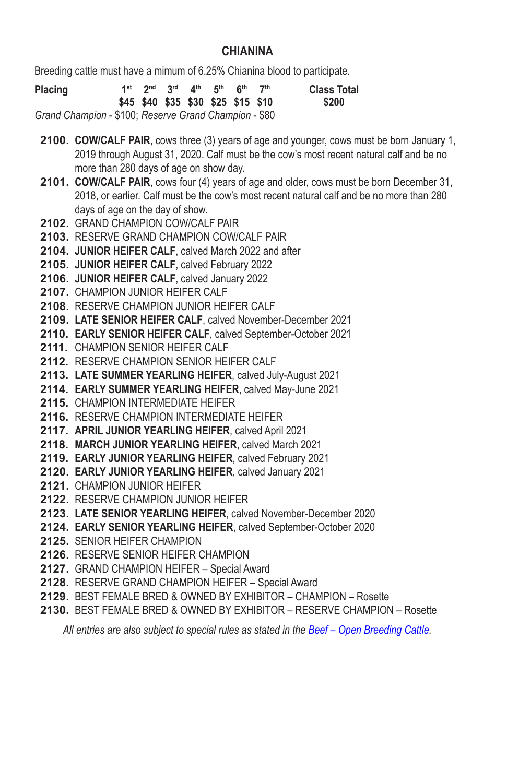### **CHIANINA**

Breeding cattle must have a mimum of 6.25% Chianina blood to participate.

| <b>Placing</b>                                        |  |  | 1st 2nd 3rd 4th 5th 6th | 7 <sup>th</sup>                    | <b>Class Total</b> |
|-------------------------------------------------------|--|--|-------------------------|------------------------------------|--------------------|
|                                                       |  |  |                         | \$45 \$40 \$35 \$30 \$25 \$15 \$10 | \$200              |
| Grand Champion - \$100; Reserve Grand Champion - \$80 |  |  |                         |                                    |                    |

**2100. COW/CALF PAIR**, cows three (3) years of age and younger, cows must be born January 1, 2019 through August 31, 2020. Calf must be the cow's most recent natural calf and be no more than 280 days of age on show day.

- **2101. COW/CALF PAIR**, cows four (4) years of age and older, cows must be born December 31, 2018, or earlier. Calf must be the cow's most recent natural calf and be no more than 280 days of age on the day of show.
- **2102.** GRAND CHAMPION COW/CALF PAIR
- **2103.** RESERVE GRAND CHAMPION COW/CALF PAIR
- **2104. JUNIOR HEIFER CALF**, calved March 2022 and after
- **2105. JUNIOR HEIFER CALF**, calved February 2022
- **2106. JUNIOR HEIFER CALF**, calved January 2022
- **2107.** CHAMPION JUNIOR HEIFER CALF
- **2108.** RESERVE CHAMPION JUNIOR HEIFER CALF
- **2109. LATE SENIOR HEIFER CALF**, calved November-December 2021
- **2110. EARLY SENIOR HEIFER CALF**, calved September-October 2021
- **2111.** CHAMPION SENIOR HEIFER CALF
- **2112.** RESERVE CHAMPION SENIOR HEIFER CALF
- **2113. LATE SUMMER YEARLING HEIFER**, calved July‑August 2021
- **2114. EARLY SUMMER YEARLING HEIFER**, calved May‑June 2021
- **2115.** CHAMPION INTERMEDIATE HEIFER
- **2116.** RESERVE CHAMPION INTERMEDIATE HEIFER
- **2117. APRIL JUNIOR YEARLING HEIFER**, calved April 2021
- **2118. MARCH JUNIOR YEARLING HEIFER**, calved March 2021
- **2119. EARLY JUNIOR YEARLING HEIFER**, calved February 2021
- **2120. EARLY JUNIOR YEARLING HEIFER**, calved January 2021
- **2121.** CHAMPION JUNIOR HEIFER
- **2122.** RESERVE CHAMPION JUNIOR HEIFER
- **2123. LATE SENIOR YEARLING HEIFER**, calved November‑December 2020
- **2124. EARLY SENIOR YEARLING HEIFER**, calved September‑October 2020
- **2125.** SENIOR HEIFER CHAMPION
- **2126.** RESERVE SENIOR HEIFER CHAMPION
- **2127.** GRAND CHAMPION HEIFER Special Award
- **2128.** RESERVE GRAND CHAMPION HEIFER Special Award
- **2129.** BEST FEMALE BRED & OWNED BY EXHIBITOR CHAMPION Rosette
- **2130.** BEST FEMALE BRED & OWNED BY EXHIBITOR RESERVE CHAMPION Rosette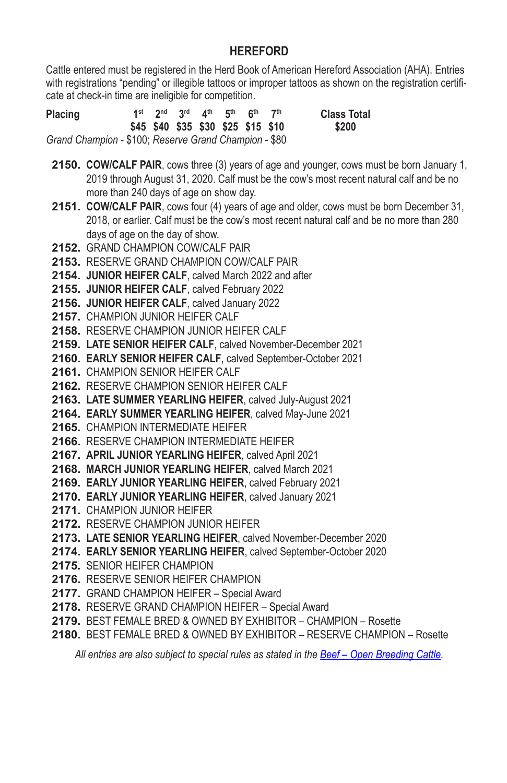### **HEREFORD**

Cattle entered must be registered in the Herd Book of American Hereford Association (AHA). Entries with registrations "pending" or illegible tattoos or improper tattoos as shown on the registration certificate at check-in time are ineligible for competition.

| Placing                                               |  |  | 1st 2nd 3rd 4th 5th 6th 7th<br>\$45 \$40 \$35 \$30 \$25 \$15 \$10 |  | <b>Class Total</b><br>\$200 |
|-------------------------------------------------------|--|--|-------------------------------------------------------------------|--|-----------------------------|
| Grand Champion - \$100; Reserve Grand Champion - \$80 |  |  |                                                                   |  |                             |

- **2150. COW/CALF PAIR**, cows three (3) years of age and younger, cows must be born January 1, 2019 through August 31, 2020. Calf must be the cow's most recent natural calf and be no more than 240 days of age on show day.
- **2151. COW/CALF PAIR**, cows four (4) years of age and older, cows must be born December 31, 2018, or earlier. Calf must be the cow's most recent natural calf and be no more than 280 days of age on the day of show.
- **2152.** GRAND CHAMPION COW/CALF PAIR
- **2153.** RESERVE GRAND CHAMPION COW/CALF PAIR
- **2154. JUNIOR HEIFER CALF**, calved March 2022 and after
- **2155. JUNIOR HEIFER CALF**, calved February 2022
- **2156. JUNIOR HEIFER CALF**, calved January 2022
- **2157.** CHAMPION JUNIOR HEIFER CALF
- **2158.** RESERVE CHAMPION JUNIOR HEIFER CALF
- **2159. LATE SENIOR HEIFER CALF**, calved November-December 2021
- **2160. EARLY SENIOR HEIFER CALF**, calved September-October 2021
- **2161.** CHAMPION SENIOR HEIFER CALF
- **2162.** RESERVE CHAMPION SENIOR HEIFER CALF
- **2163. LATE SUMMER YEARLING HEIFER**, calved July‑August 2021
- **2164. EARLY SUMMER YEARLING HEIFER**, calved May‑June 2021
- **2165.** CHAMPION INTERMEDIATE HEIFER
- **2166.** RESERVE CHAMPION INTERMEDIATE HEIFER
- **2167. APRIL JUNIOR YEARLING HEIFER**, calved April 2021
- **2168. MARCH JUNIOR YEARLING HEIFER**, calved March 2021
- **2169. EARLY JUNIOR YEARLING HEIFER**, calved February 2021
- **2170. EARLY JUNIOR YEARLING HEIFER**, calved January 2021
- **2171.** CHAMPION JUNIOR HEIFER
- **2172.** RESERVE CHAMPION JUNIOR HEIFER
- **2173. LATE SENIOR YEARLING HEIFER**, calved November‑December 2020
- **2174. EARLY SENIOR YEARLING HEIFER**, calved September‑October 2020
- **2175.** SENIOR HEIFER CHAMPION
- **2176.** RESERVE SENIOR HEIFER CHAMPION
- **2177.** GRAND CHAMPION HEIFER Special Award
- **2178.** RESERVE GRAND CHAMPION HEIFER Special Award
- **2179.** BEST FEMALE BRED & OWNED BY EXHIBITOR CHAMPION Rosette
- **2180.** BEST FEMALE BRED & OWNED BY EXHIBITOR RESERVE CHAMPION Rosette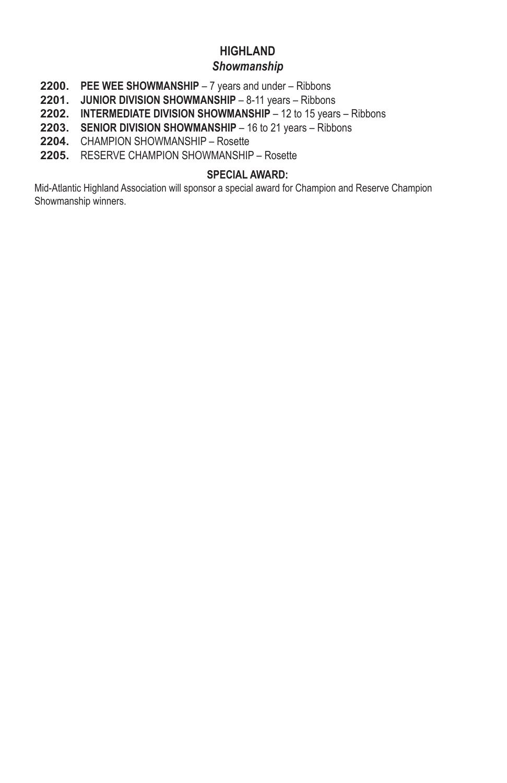### **HIGHLAND**

### *Showmanship*

- **2200. PEE WEE SHOWMANSHIP** 7 years and under Ribbons
- **2201. JUNIOR DIVISION SHOWMANSHIP** 8-11 years Ribbons
- **2202. INTERMEDIATE DIVISION SHOWMANSHIP** 12 to 15 years Ribbons
- **2203. SENIOR DIVISION SHOWMANSHIP** 16 to 21 years Ribbons
- **2204.** CHAMPION SHOWMANSHIP Rosette
- **2205.** RESERVE CHAMPION SHOWMANSHIP Rosette

#### **SPECIAL AWARD:**

Mid-Atlantic Highland Association will sponsor a special award for Champion and Reserve Champion Showmanship winners.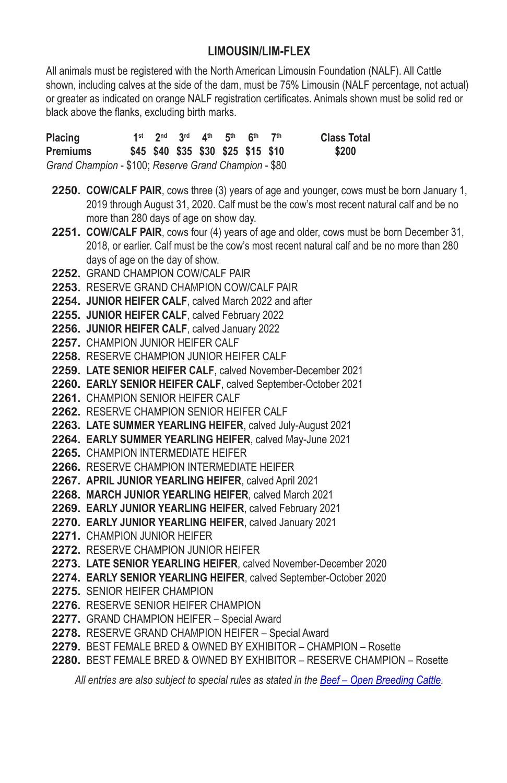## **LIMOUSIN/LIM-FLEX**

All animals must be registered with the North American Limousin Foundation (NALF). All Cattle shown, including calves at the side of the dam, must be 75% Limousin (NALF percentage, not actual) or greater as indicated on orange NALF registration certificates. Animals shown must be solid red or black above the flanks, excluding birth marks.

| Placing                                               |  | 1st $2^{nd}$ $3^{rd}$ $4^{th}$ $5^{th}$ $6^{th}$ |  | 7th | <b>Class Total</b> |
|-------------------------------------------------------|--|--------------------------------------------------|--|-----|--------------------|
| Premiums                                              |  | \$45 \$40 \$35 \$30 \$25 \$15 \$10               |  |     | \$200              |
| Grand Champion - \$100; Reserve Grand Champion - \$80 |  |                                                  |  |     |                    |

- **2250. COW/CALF PAIR**, cows three (3) years of age and younger, cows must be born January 1, 2019 through August 31, 2020. Calf must be the cow's most recent natural calf and be no more than 280 days of age on show day.
- **2251. COW/CALF PAIR**, cows four (4) years of age and older, cows must be born December 31, 2018, or earlier. Calf must be the cow's most recent natural calf and be no more than 280 days of age on the day of show.
- **2252.** GRAND CHAMPION COW/CALF PAIR
- **2253.** RESERVE GRAND CHAMPION COW/CALF PAIR
- **2254. JUNIOR HEIFER CALF**, calved March 2022 and after
- **2255. JUNIOR HEIFER CALF**, calved February 2022
- **2256. JUNIOR HEIFER CALF**, calved January 2022
- **2257. CHAMPION JUNIOR HEIFER CAI F**
- **2258.** RESERVE CHAMPION JUNIOR HEIFER CALF
- **2259. LATE SENIOR HEIFER CALF**, calved November-December 2021
- **2260. EARLY SENIOR HEIFER CALF**, calved September-October 2021
- **2261.** CHAMPION SENIOR HEIFER CALF
- **2262.** RESERVE CHAMPION SENIOR HEIFER CALF
- **2263. LATE SUMMER YEARLING HEIFER**, calved July‑August 2021
- **2264. EARLY SUMMER YEARLING HEIFER**, calved May‑June 2021
- **2265.** CHAMPION INTERMEDIATE HEIFER
- **2266.** RESERVE CHAMPION INTERMEDIATE HEIFER
- **2267. APRIL JUNIOR YEARLING HEIFER**, calved April 2021
- **2268. MARCH JUNIOR YEARLING HEIFER**, calved March 2021
- **2269. EARLY JUNIOR YEARLING HEIFER**, calved February 2021
- **2270. EARLY JUNIOR YEARLING HEIFER**, calved January 2021
- **2271.** CHAMPION JUNIOR HEIFER
- **2272.** RESERVE CHAMPION JUNIOR HEIFER
- **2273. LATE SENIOR YEARLING HEIFER**, calved November‑December 2020
- **2274. EARLY SENIOR YEARLING HEIFER**, calved September‑October 2020
- **2275.** SENIOR HEIFER CHAMPION
- **2276.** RESERVE SENIOR HEIFER CHAMPION
- **2277.** GRAND CHAMPION HEIFER Special Award
- **2278.** RESERVE GRAND CHAMPION HEIFER Special Award
- **2279.** BEST FEMALE BRED & OWNED BY EXHIBITOR CHAMPION Rosette
- **2280.** BEST FEMALE BRED & OWNED BY EXHIBITOR RESERVE CHAMPION Rosette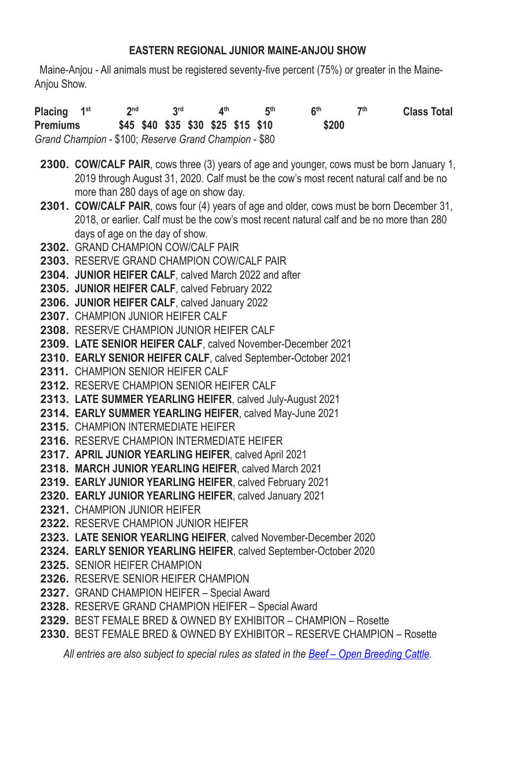#### **EASTERN REGIONAL JUNIOR MAINE-ANJOU SHOW**

 Maine-Anjou - All animals must be registered seventy-five percent (75%) or greater in the Maine-Anjou Show.

**Placing 1st 2nd 3rd 4th 5th 6th 7th Class Total Premiums \$45 \$40 \$35 \$30 \$25 \$15 \$10 \$200** *Grand Champion* - \$100; *Reserve Grand Champion* - \$80

- **2300. COW/CALF PAIR**, cows three (3) years of age and younger, cows must be born January 1, 2019 through August 31, 2020. Calf must be the cow's most recent natural calf and be no more than 280 days of age on show day.
- **2301. COW/CALF PAIR**, cows four (4) years of age and older, cows must be born December 31, 2018, or earlier. Calf must be the cow's most recent natural calf and be no more than 280 days of age on the day of show.
- **2302.** GRAND CHAMPION COW/CALF PAIR
- **2303.** RESERVE GRAND CHAMPION COW/CALF PAIR
- **2304. JUNIOR HEIFER CALF**, calved March 2022 and after
- **2305. JUNIOR HEIFER CALF**, calved February 2022
- **2306. JUNIOR HEIFER CALF**, calved January 2022
- **2307.** CHAMPION JUNIOR HEIFER CALF
- **2308.** RESERVE CHAMPION JUNIOR HEIFER CALF
- **2309. LATE SENIOR HEIFER CALF**, calved November-December 2021
- **2310. EARLY SENIOR HEIFER CALF**, calved September-October 2021
- **2311.** CHAMPION SENIOR HEIFER CALF
- **2312.** RESERVE CHAMPION SENIOR HEIFER CALF
- **2313. LATE SUMMER YEARLING HEIFER**, calved July‑August 2021
- **2314. EARLY SUMMER YEARLING HEIFER**, calved May‑June 2021
- **2315.** CHAMPION INTERMEDIATE HEIFER
- **2316.** RESERVE CHAMPION INTERMEDIATE HEIFER
- **2317. APRIL JUNIOR YEARLING HEIFER**, calved April 2021
- **2318. MARCH JUNIOR YEARLING HEIFER**, calved March 2021
- **2319. EARLY JUNIOR YEARLING HEIFER**, calved February 2021
- **2320. EARLY JUNIOR YEARLING HEIFER**, calved January 2021
- **2321.** CHAMPION JUNIOR HEIFER
- **2322.** RESERVE CHAMPION JUNIOR HEIFER
- **2323. LATE SENIOR YEARLING HEIFER**, calved November‑December 2020
- **2324. EARLY SENIOR YEARLING HEIFER**, calved September‑October 2020
- **2325.** SENIOR HEIFER CHAMPION
- **2326.** RESERVE SENIOR HEIFER CHAMPION
- **2327.** GRAND CHAMPION HEIFER Special Award
- **2328.** RESERVE GRAND CHAMPION HEIFER Special Award
- **2329.** BEST FEMALE BRED & OWNED BY EXHIBITOR CHAMPION Rosette
- **2330.** BEST FEMALE BRED & OWNED BY EXHIBITOR RESERVE CHAMPION Rosette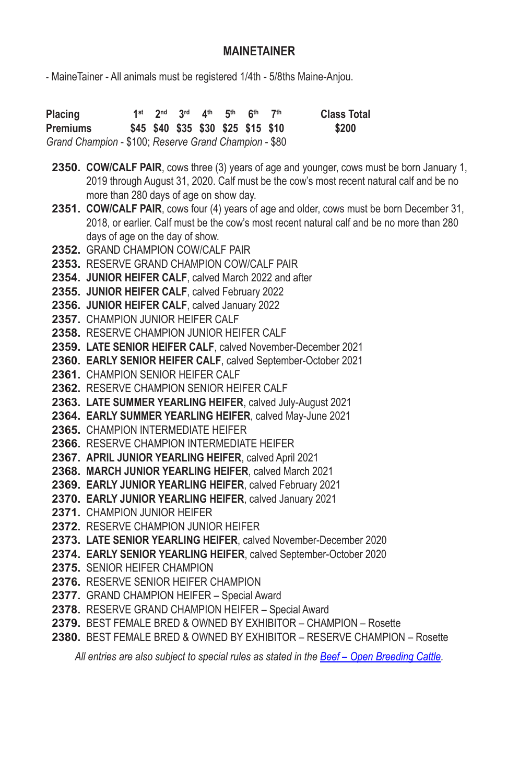### **MAINETAINER**

- MaineTainer - All animals must be registered 1/4th - 5/8ths Maine-Anjou.

**Placing 1st 2nd 3rd 4th 5th 6th 7th Class Total Premiums \$45 \$40 \$35 \$30 \$25 \$15 \$10 \$200** *Grand Champion* - \$100; *Reserve Grand Champion* - \$80

- **2350. COW/CALF PAIR**, cows three (3) years of age and younger, cows must be born January 1, 2019 through August 31, 2020. Calf must be the cow's most recent natural calf and be no more than 280 days of age on show day.
- **2351. COW/CALF PAIR**, cows four (4) years of age and older, cows must be born December 31, 2018, or earlier. Calf must be the cow's most recent natural calf and be no more than 280 days of age on the day of show.
- **2352.** GRAND CHAMPION COW/CALF PAIR
- **2353.** RESERVE GRAND CHAMPION COW/CALF PAIR
- **2354. JUNIOR HEIFER CALF**, calved March 2022 and after
- **2355. JUNIOR HEIFER CALF**, calved February 2022
- **2356. JUNIOR HEIFER CALF**, calved January 2022
- **2357.** CHAMPION JUNIOR HEIFER CALF
- **2358.** RESERVE CHAMPION JUNIOR HEIFER CALF
- **2359. LATE SENIOR HEIFER CALF**, calved November-December 2021
- **2360. EARLY SENIOR HEIFER CALF**, calved September-October 2021
- **2361.** CHAMPION SENIOR HEIFER CALF
- **2362.** RESERVE CHAMPION SENIOR HEIFER CALF
- **2363. LATE SUMMER YEARLING HEIFER**, calved July‑August 2021
- **2364. EARLY SUMMER YEARLING HEIFER**, calved May‑June 2021
- **2365.** CHAMPION INTERMEDIATE HEIFER
- **2366.** RESERVE CHAMPION INTERMEDIATE HEIFER
- **2367. APRIL JUNIOR YEARLING HEIFER**, calved April 2021
- **2368. MARCH JUNIOR YEARLING HEIFER**, calved March 2021
- **2369. EARLY JUNIOR YEARLING HEIFER**, calved February 2021
- **2370. EARLY JUNIOR YEARLING HEIFER**, calved January 2021
- **2371.** CHAMPION JUNIOR HEIFER
- **2372.** RESERVE CHAMPION JUNIOR HEIFER
- **2373. LATE SENIOR YEARLING HEIFER**, calved November‑December 2020
- **2374. EARLY SENIOR YEARLING HEIFER**, calved September‑October 2020
- **2375.** SENIOR HEIFER CHAMPION
- **2376.** RESERVE SENIOR HEIFER CHAMPION
- **2377.** GRAND CHAMPION HEIFER Special Award
- **2378.** RESERVE GRAND CHAMPION HEIFER Special Award
- **2379.** BEST FEMALE BRED & OWNED BY EXHIBITOR CHAMPION Rosette
- **2380.** BEST FEMALE BRED & OWNED BY EXHIBITOR RESERVE CHAMPION Rosette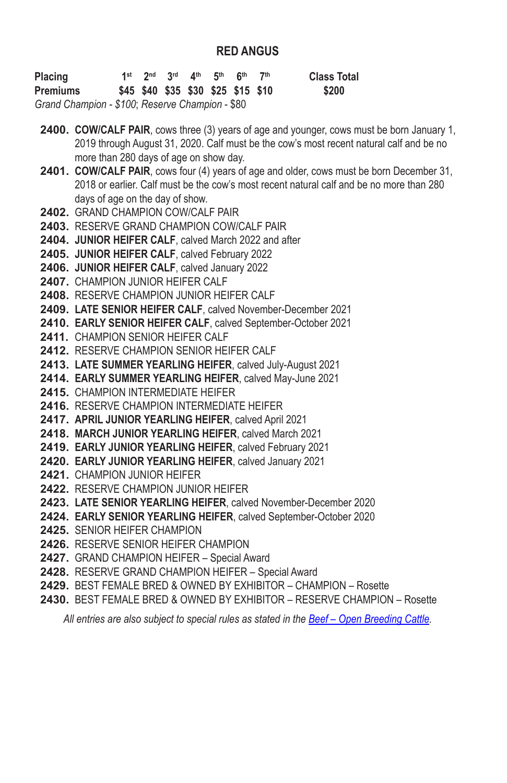### **RED ANGUS**

| Placing                                         |  | 1st 2nd 3rd 4th 5th 6th            |  | 7th | <b>Class Total</b> |
|-------------------------------------------------|--|------------------------------------|--|-----|--------------------|
| Premiums                                        |  | \$45 \$40 \$35 \$30 \$25 \$15 \$10 |  |     | \$200              |
| Grand Champion - \$100; Reserve Champion - \$80 |  |                                    |  |     |                    |

**2400. COW/CALF PAIR**, cows three (3) years of age and younger, cows must be born January 1, 2019 through August 31, 2020. Calf must be the cow's most recent natural calf and be no more than 280 days of age on show day.

- **2401. COW/CALF PAIR**, cows four (4) years of age and older, cows must be born December 31, 2018 or earlier. Calf must be the cow's most recent natural calf and be no more than 280 days of age on the day of show.
- **2402.** GRAND CHAMPION COW/CALF PAIR
- **2403.** RESERVE GRAND CHAMPION COW/CALF PAIR
- **2404. JUNIOR HEIFER CALF**, calved March 2022 and after
- **2405. JUNIOR HEIFER CALF**, calved February 2022
- **2406. JUNIOR HEIFER CALF**, calved January 2022
- **2407.** CHAMPION JUNIOR HEIFER CALF
- **2408.** RESERVE CHAMPION JUNIOR HEIFER CALF
- **2409. LATE SENIOR HEIFER CALF**, calved November-December 2021
- **2410. EARLY SENIOR HEIFER CALF**, calved September-October 2021
- **2411.** CHAMPION SENIOR HEIFER CALF
- **2412.** RESERVE CHAMPION SENIOR HEIFER CALF
- **2413. LATE SUMMER YEARLING HEIFER**, calved July‑August 2021
- **2414. EARLY SUMMER YEARLING HEIFER**, calved May‑June 2021
- **2415.** CHAMPION INTERMEDIATE HEIFER
- **2416.** RESERVE CHAMPION INTERMEDIATE HEIFER
- **2417. APRIL JUNIOR YEARLING HEIFER**, calved April 2021
- **2418. MARCH JUNIOR YEARLING HEIFER**, calved March 2021
- **2419. EARLY JUNIOR YEARLING HEIFER**, calved February 2021
- **2420. EARLY JUNIOR YEARLING HEIFER**, calved January 2021
- **2421.** CHAMPION JUNIOR HEIFER
- **2422.** RESERVE CHAMPION JUNIOR HEIFER
- **2423. LATE SENIOR YEARLING HEIFER**, calved November‑December 2020
- **2424. EARLY SENIOR YEARLING HEIFER**, calved September‑October 2020
- **2425.** SENIOR HEIFER CHAMPION
- **2426.** RESERVE SENIOR HEIFER CHAMPION
- **2427.** GRAND CHAMPION HEIFER Special Award
- **2428.** RESERVE GRAND CHAMPION HEIFER Special Award
- **2429.** BEST FEMALE BRED & OWNED BY EXHIBITOR CHAMPION Rosette
- **2430.** BEST FEMALE BRED & OWNED BY EXHIBITOR RESERVE CHAMPION Rosette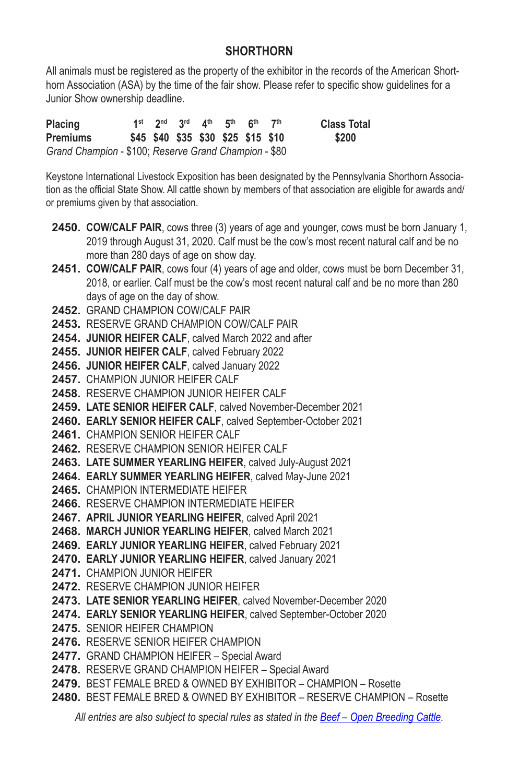## **SHORTHORN**

All animals must be registered as the property of the exhibitor in the records of the American Shorthorn Association (ASA) by the time of the fair show. Please refer to specific show guidelines for a Junior Show ownership deadline.

**Placing 1st 2nd 3rd 4th 5th 6th 7th Class Total Premiums \$45 \$40 \$35 \$30 \$25 \$15 \$10 \$200** *Grand Champion* - \$100; *Reserve Grand Champion* - \$80

Keystone International Livestock Exposition has been designated by the Pennsylvania Shorthorn Association as the official State Show. All cattle shown by members of that association are eligible for awards and/ or premiums given by that association.

- **2450. COW/CALF PAIR**, cows three (3) years of age and younger, cows must be born January 1, 2019 through August 31, 2020. Calf must be the cow's most recent natural calf and be no more than 280 days of age on show day.
- **2451. COW/CALF PAIR**, cows four (4) years of age and older, cows must be born December 31, 2018, or earlier. Calf must be the cow's most recent natural calf and be no more than 280 days of age on the day of show.
- **2452.** GRAND CHAMPION COW/CALF PAIR
- **2453.** RESERVE GRAND CHAMPION COW/CALF PAIR
- **2454. JUNIOR HEIFER CALF**, calved March 2022 and after
- **2455. JUNIOR HEIFER CALF**, calved February 2022
- **2456. JUNIOR HEIFER CALF**, calved January 2022
- **2457.** CHAMPION JUNIOR HEIFER CALF
- **2458.** RESERVE CHAMPION JUNIOR HEIFER CALF
- **2459. LATE SENIOR HEIFER CALF**, calved November-December 2021
- **2460. EARLY SENIOR HEIFER CALF**, calved September-October 2021
- **2461.** CHAMPION SENIOR HEIFER CALF
- **2462.** RESERVE CHAMPION SENIOR HEIFER CALF
- **2463. LATE SUMMER YEARLING HEIFER**, calved July‑August 2021
- **2464. EARLY SUMMER YEARLING HEIFER**, calved May‑June 2021
- **2465.** CHAMPION INTERMEDIATE HEIFER
- **2466.** RESERVE CHAMPION INTERMEDIATE HEIFER
- **2467. APRIL JUNIOR YEARLING HEIFER**, calved April 2021
- **2468. MARCH JUNIOR YEARLING HEIFER**, calved March 2021
- **2469. EARLY JUNIOR YEARLING HEIFER**, calved February 2021
- **2470. EARLY JUNIOR YEARLING HEIFER**, calved January 2021
- **2471.** CHAMPION JUNIOR HEIFER
- **2472.** RESERVE CHAMPION JUNIOR HEIFER
- **2473. LATE SENIOR YEARLING HEIFER**, calved November‑December 2020
- **2474. EARLY SENIOR YEARLING HEIFER**, calved September‑October 2020
- **2475.** SENIOR HEIFER CHAMPION
- **2476.** RESERVE SENIOR HEIFER CHAMPION
- **2477.** GRAND CHAMPION HEIFER Special Award
- **2478.** RESERVE GRAND CHAMPION HEIFER Special Award
- **2479.** BEST FEMALE BRED & OWNED BY EXHIBITOR CHAMPION Rosette
- **2480.** BEST FEMALE BRED & OWNED BY EXHIBITOR RESERVE CHAMPION Rosette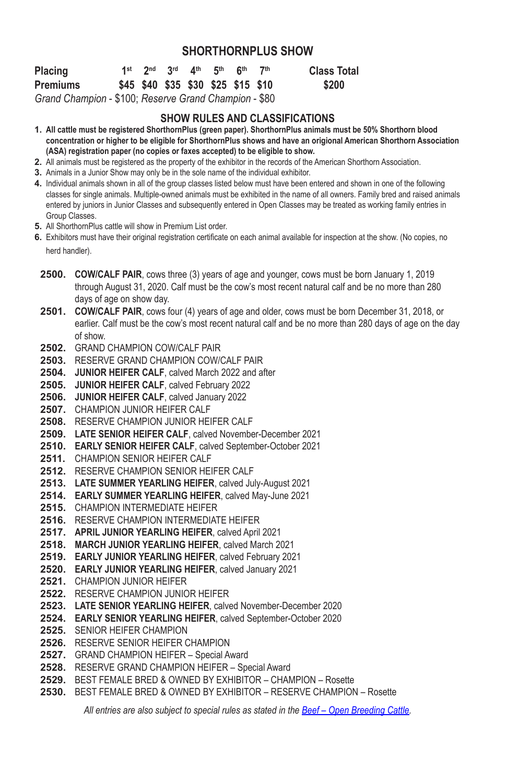#### **SHORTHORNPLUS SHOW**

| <b>Placing</b>                                     |  |  | 1st 2nd 3rd 4th 5th 6th 7th |                                    | <b>Class Total</b> |
|----------------------------------------------------|--|--|-----------------------------|------------------------------------|--------------------|
| Premiums                                           |  |  |                             | \$45 \$40 \$35 \$30 \$25 \$15 \$10 | \$200              |
| Crand Champion \$100; Possario Crand Champion \$80 |  |  |                             |                                    |                    |

*Grand Champion* - \$100; *Reserve Grand Champion* - \$80

#### **SHOW RULES AND CLASSIFICATIONS**

- **1. All cattle must be registered ShorthornPlus (green paper). ShorthornPlus animals must be 50% Shorthorn blood concentration or higher to be eligible for ShorthornPlus shows and have an origional American Shorthorn Association (ASA) registration paper (no copies or faxes accepted) to be eligible to show.**
- **2.** All animals must be registered as the property of the exhibitor in the records of the American Shorthorn Association.
- **3.** Animals in a Junior Show may only be in the sole name of the individual exhibitor.
- **4.** Individual animals shown in all of the group classes listed below must have been entered and shown in one of the following classes for single animals. Multiple-owned animals must be exhibited in the name of all owners. Family bred and raised animals entered by juniors in Junior Classes and subsequently entered in Open Classes may be treated as working family entries in Group Classes.
- **5.** All ShorthornPlus cattle will show in Premium List order.
- **6.** Exhibitors must have their original registration certificate on each animal available for inspection at the show. (No copies, no herd handler).
- **2500. COW/CALF PAIR**, cows three (3) years of age and younger, cows must be born January 1, 2019 through August 31, 2020. Calf must be the cow's most recent natural calf and be no more than 280 days of age on show day.
- **2501. COW/CALF PAIR**, cows four (4) years of age and older, cows must be born December 31, 2018, or earlier. Calf must be the cow's most recent natural calf and be no more than 280 days of age on the day of show.
- **2502.** GRAND CHAMPION COW/CALF PAIR
- **2503.** RESERVE GRAND CHAMPION COW/CALF PAIR
- **2504. JUNIOR HEIFER CALF**, calved March 2022 and after
- **2505. JUNIOR HEIFER CALF**, calved February 2022
- **2506. JUNIOR HEIFER CALF**, calved January 2022
- **2507.** CHAMPION JUNIOR HEIFER CALF
- **2508.** RESERVE CHAMPION JUNIOR HEIFER CALF
- **2509. LATE SENIOR HEIFER CALF**, calved November-December 2021
- **2510. EARLY SENIOR HEIFER CALF**, calved September-October 2021
- **2511.** CHAMPION SENIOR HEIFER CALF
- **2512.** RESERVE CHAMPION SENIOR HEIFER CALF
- **2513. LATE SUMMER YEARLING HEIFER**, calved July‑August 2021
- **2514. EARLY SUMMER YEARLING HEIFER**, calved May‑June 2021
- **2515.** CHAMPION INTERMEDIATE HEIFER
- **2516.** RESERVE CHAMPION INTERMEDIATE HEIFER
- **2517. APRIL JUNIOR YEARLING HEIFER**, calved April 2021
- **2518. MARCH JUNIOR YEARLING HEIFER**, calved March 2021
- **2519. EARLY JUNIOR YEARLING HEIFER**, calved February 2021
- **2520. EARLY JUNIOR YEARLING HEIFER**, calved January 2021
- **2521.** CHAMPION JUNIOR HEIFER
- **2522.** RESERVE CHAMPION JUNIOR HEIFER
- **2523. LATE SENIOR YEARLING HEIFER**, calved November‑December 2020
- **2524. EARLY SENIOR YEARLING HEIFER**, calved September‑October 2020
- **2525.** SENIOR HEIFER CHAMPION
- **2526.** RESERVE SENIOR HEIFER CHAMPION
- **2527.** GRAND CHAMPION HEIFER Special Award
- **2528.** RESERVE GRAND CHAMPION HEIFER Special Award
- **2529.** BEST FEMALE BRED & OWNED BY EXHIBITOR CHAMPION Rosette
- **2530.** BEST FEMALE BRED & OWNED BY EXHIBITOR RESERVE CHAMPION Rosette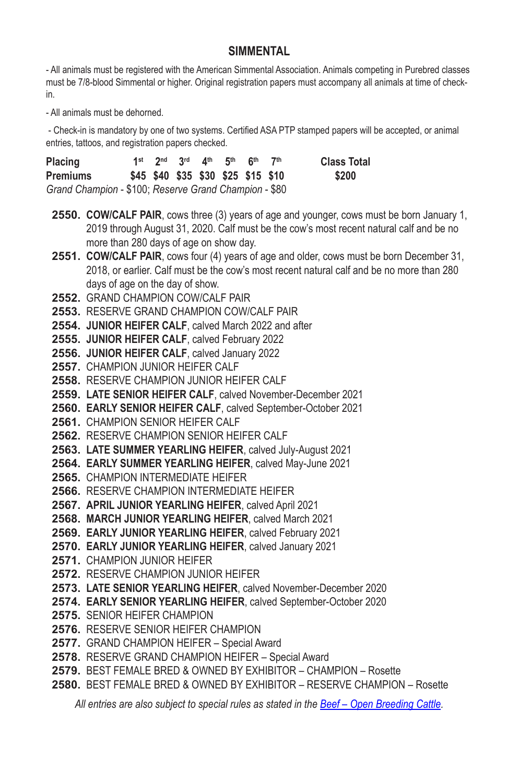### **SIMMENTAL**

- All animals must be registered with the American Simmental Association. Animals competing in Purebred classes must be 7/8-blood Simmental or higher. Original registration papers must accompany all animals at time of checkin.

- All animals must be dehorned.

 - Check-in is mandatory by one of two systems. Certified ASA PTP stamped papers will be accepted, or animal entries, tattoos, and registration papers checked.

| Placing                                               |  |  | 1st 2nd 3rd 4th 5th 6th            | 7 <sup>th</sup> | <b>Class Total</b> |
|-------------------------------------------------------|--|--|------------------------------------|-----------------|--------------------|
| Premiums                                              |  |  | \$45 \$40 \$35 \$30 \$25 \$15 \$10 |                 | \$200              |
| Grand Champion - \$100; Reserve Grand Champion - \$80 |  |  |                                    |                 |                    |

- **2550. COW/CALF PAIR**, cows three (3) years of age and younger, cows must be born January 1, 2019 through August 31, 2020. Calf must be the cow's most recent natural calf and be no more than 280 days of age on show day.
- **2551. COW/CALF PAIR**, cows four (4) years of age and older, cows must be born December 31, 2018, or earlier. Calf must be the cow's most recent natural calf and be no more than 280 days of age on the day of show.
- **2552.** GRAND CHAMPION COW/CALF PAIR
- **2553.** RESERVE GRAND CHAMPION COW/CALF PAIR
- **2554. JUNIOR HEIFER CALF**, calved March 2022 and after
- **2555. JUNIOR HEIFER CALF**, calved February 2022
- **2556. JUNIOR HEIFER CALF**, calved January 2022
- **2557.** CHAMPION JUNIOR HEIFER CALF
- **2558.** RESERVE CHAMPION JUNIOR HEIFER CALF
- **2559. LATE SENIOR HEIFER CALF**, calved November-December 2021
- **2560. EARLY SENIOR HEIFER CALF**, calved September-October 2021
- **2561.** CHAMPION SENIOR HEIFER CALF
- **2562.** RESERVE CHAMPION SENIOR HEIFER CALF
- **2563. LATE SUMMER YEARLING HEIFER**, calved July‑August 2021
- **2564. EARLY SUMMER YEARLING HEIFER**, calved May‑June 2021
- **2565.** CHAMPION INTERMEDIATE HEIFER
- **2566.** RESERVE CHAMPION INTERMEDIATE HEIFER
- **2567. APRIL JUNIOR YEARLING HEIFER**, calved April 2021
- **2568. MARCH JUNIOR YEARLING HEIFER**, calved March 2021
- **2569. EARLY JUNIOR YEARLING HEIFER**, calved February 2021
- **2570. EARLY JUNIOR YEARLING HEIFER**, calved January 2021
- **2571.** CHAMPION JUNIOR HEIFER
- **2572.** RESERVE CHAMPION JUNIOR HEIFER
- **2573. LATE SENIOR YEARLING HEIFER**, calved November‑December 2020
- **2574. EARLY SENIOR YEARLING HEIFER**, calved September‑October 2020
- **2575.** SENIOR HEIFER CHAMPION
- **2576.** RESERVE SENIOR HEIFER CHAMPION
- **2577.** GRAND CHAMPION HEIFER Special Award
- **2578.** RESERVE GRAND CHAMPION HEIFER Special Award
- **2579.** BEST FEMALE BRED & OWNED BY EXHIBITOR CHAMPION Rosette
- **2580.** BEST FEMALE BRED & OWNED BY EXHIBITOR RESERVE CHAMPION Rosette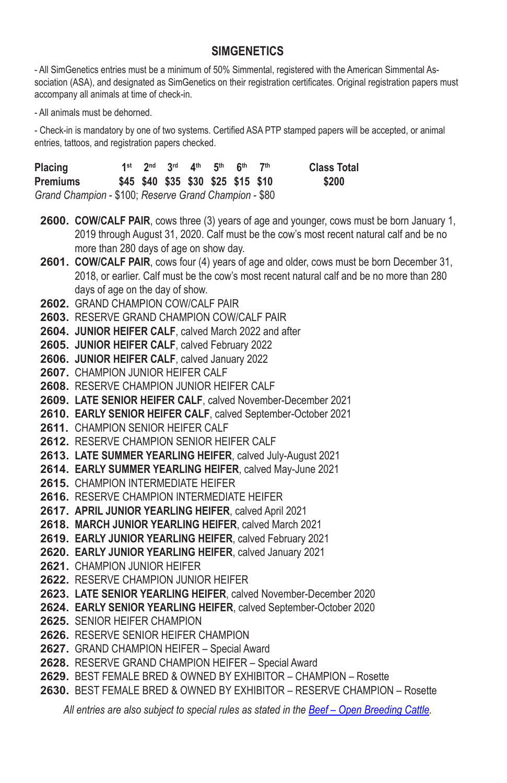### **SIMGENETICS**

- All SimGenetics entries must be a minimum of 50% Simmental, registered with the American Simmental As‑ sociation (ASA), and designated as SimGenetics on their registration certificates. Original registration papers must accompany all animals at time of check-in.

- All animals must be dehorned.

- Check-in is mandatory by one of two systems. Certified ASA PTP stamped papers will be accepted, or animal entries, tattoos, and registration papers checked.

| <b>Placing</b>                                        |  | 1st $2^{nd}$ $3^{rd}$ $4^{th}$ $5^{th}$ $6^{th}$ |  | 7 <sup>th</sup> | <b>Class Total</b> |
|-------------------------------------------------------|--|--------------------------------------------------|--|-----------------|--------------------|
| <b>Premiums</b>                                       |  | \$45 \$40 \$35 \$30 \$25 \$15 \$10               |  |                 | \$200              |
| Grand Champion - \$100; Reserve Grand Champion - \$80 |  |                                                  |  |                 |                    |

**2600. COW/CALF PAIR**, cows three (3) years of age and younger, cows must be born January 1, 2019 through August 31, 2020. Calf must be the cow's most recent natural calf and be no more than 280 days of age on show day.

**2601. COW/CALF PAIR**, cows four (4) years of age and older, cows must be born December 31, 2018, or earlier. Calf must be the cow's most recent natural calf and be no more than 280 days of age on the day of show.

- **2602.** GRAND CHAMPION COW/CALF PAIR
- **2603.** RESERVE GRAND CHAMPION COW/CALF PAIR
- **2604. JUNIOR HEIFER CALF**, calved March 2022 and after
- **2605. JUNIOR HEIFER CALF**, calved February 2022
- **2606. JUNIOR HEIFER CALF**, calved January 2022
- **2607.** CHAMPION JUNIOR HEIFER CALF
- **2608.** RESERVE CHAMPION JUNIOR HEIFER CALF
- **2609. LATE SENIOR HEIFER CALF**, calved November-December 2021
- **2610. EARLY SENIOR HEIFER CALF**, calved September-October 2021
- **2611.** CHAMPION SENIOR HEIFER CALF
- **2612.** RESERVE CHAMPION SENIOR HEIFER CALF
- **2613. LATE SUMMER YEARLING HEIFER**, calved July‑August 2021
- **2614. EARLY SUMMER YEARLING HEIFER**, calved May‑June 2021
- **2615.** CHAMPION INTERMEDIATE HEIFER
- **2616.** RESERVE CHAMPION INTERMEDIATE HEIFER
- **2617. APRIL JUNIOR YEARLING HEIFER**, calved April 2021
- **2618. MARCH JUNIOR YEARLING HEIFER**, calved March 2021
- **2619. EARLY JUNIOR YEARLING HEIFER**, calved February 2021
- **2620. EARLY JUNIOR YEARLING HEIFER**, calved January 2021
- **2621.** CHAMPION JUNIOR HEIFER
- **2622.** RESERVE CHAMPION JUNIOR HEIFER
- **2623. LATE SENIOR YEARLING HEIFER**, calved November‑December 2020
- **2624. EARLY SENIOR YEARLING HEIFER**, calved September‑October 2020
- **2625.** SENIOR HEIFER CHAMPION
- **2626.** RESERVE SENIOR HEIFER CHAMPION
- **2627.** GRAND CHAMPION HEIFER Special Award
- **2628.** RESERVE GRAND CHAMPION HEIFER Special Award
- **2629.** BEST FEMALE BRED & OWNED BY EXHIBITOR CHAMPION Rosette
- **2630.** BEST FEMALE BRED & OWNED BY EXHIBITOR RESERVE CHAMPION Rosette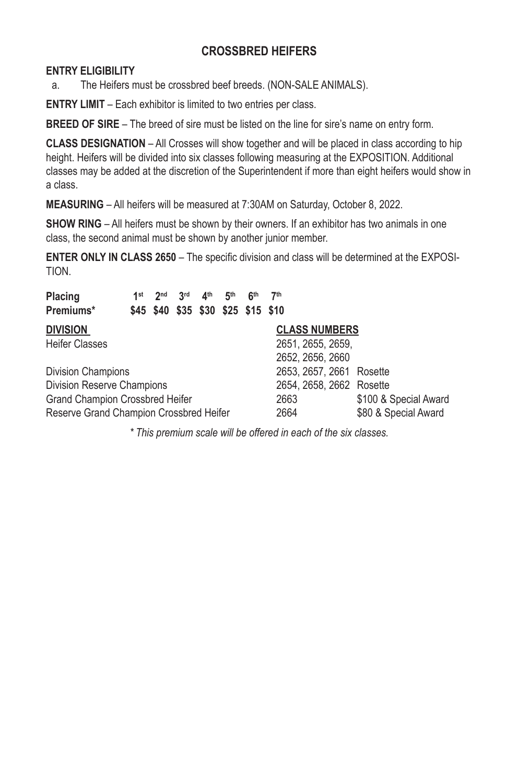## **CROSSBRED HEIFERS**

#### **ENTRY ELIGIBILITY**

a. The Heifers must be crossbred beef breeds. (NON-SALE ANIMALS).

**ENTRY LIMIT** – Each exhibitor is limited to two entries per class.

**BREED OF SIRE** – The breed of sire must be listed on the line for sire's name on entry form.

**CLASS DESIGNATION** – All Crosses will show together and will be placed in class according to hip height. Heifers will be divided into six classes following measuring at the EXPOSITION. Additional classes may be added at the discretion of the Superintendent if more than eight heifers would show in a class.

**MEASURING** – All heifers will be measured at 7:30AM on Saturday, October 8, 2022.

**SHOW RING** – All heifers must be shown by their owners. If an exhibitor has two animals in one class, the second animal must be shown by another junior member.

**ENTER ONLY IN CLASS 2650** – The specific division and class will be determined at the EXPOSI-TION.

| Placing<br>Premiums*                    | 1st | 2 <sub>nd</sub> | 3 <sup>rd</sup><br>\$45 \$40 \$35 \$30 \$25 \$15 \$10 | 4 <sup>th</sup> | 5 <sup>th</sup> | 6 <sup>th</sup> | 7 <sup>th</sup>          |                       |
|-----------------------------------------|-----|-----------------|-------------------------------------------------------|-----------------|-----------------|-----------------|--------------------------|-----------------------|
|                                         |     |                 |                                                       |                 |                 |                 |                          |                       |
| Division                                |     |                 |                                                       |                 |                 |                 | <b>CLASS NUMBERS</b>     |                       |
| Heifer Classes                          |     |                 |                                                       |                 |                 |                 | 2651, 2655, 2659,        |                       |
|                                         |     |                 |                                                       |                 |                 |                 | 2652, 2656, 2660         |                       |
| Division Champions                      |     |                 |                                                       |                 |                 |                 | 2653, 2657, 2661 Rosette |                       |
| Division Reserve Champions              |     |                 |                                                       |                 |                 |                 | 2654, 2658, 2662 Rosette |                       |
| Grand Champion Crossbred Heifer         |     |                 |                                                       |                 |                 |                 | 2663                     | \$100 & Special Award |
| Reserve Grand Champion Crossbred Heifer |     |                 |                                                       |                 |                 |                 | 2664                     | \$80 & Special Award  |

*\* This premium scale will be offered in each of the six classes.*